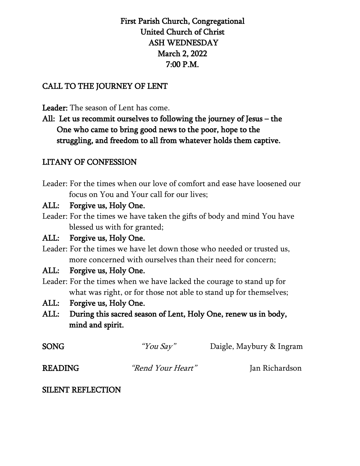# First Parish Church, Congregational United Church of Christ ASH WEDNESDAY March 2, 2022 7:00 P.M.

## CALL TO THE JOURNEY OF LENT

### Leader: The season of Lent has come.

All: Let us recommit ourselves to following the journey of Jesus – the One who came to bring good news to the poor, hope to the struggling, and freedom to all from whatever holds them captive.

## LITANY OF CONFESSION

Leader: For the times when our love of comfort and ease have loosened our focus on You and Your call for our lives;

### ALL: Forgive us, Holy One.

Leader: For the times we have taken the gifts of body and mind You have blessed us with for granted;

## ALL: Forgive us, Holy One.

Leader: For the times we have let down those who needed or trusted us, more concerned with ourselves than their need for concern;

### ALL: Forgive us, Holy One.

- Leader: For the times when we have lacked the courage to stand up for what was right, or for those not able to stand up for themselves;
- ALL: Forgive us, Holy One.
- ALL: During this sacred season of Lent, Holy One, renew us in body, mind and spirit.

| SONG    | "You Say"                | Daigle, Maybury & Ingram |
|---------|--------------------------|--------------------------|
| READING | <i>"Rend Your Heart"</i> | Jan Richardson           |

### SILENT REFLECTION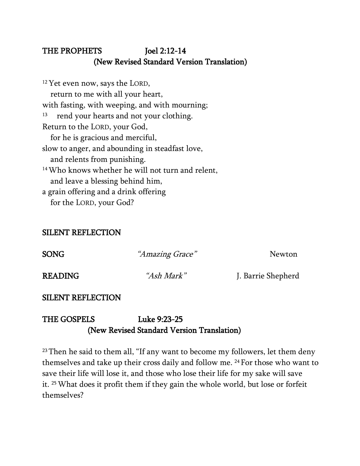# THE PROPHETS Joel 2:12-14 (New Revised Standard Version Translation)

<sup>12</sup> Yet even now, says the LORD, return to me with all your heart, with fasting, with weeping, and with mourning; <sup>13</sup> rend your hearts and not your clothing. Return to the LORD, your God, for he is gracious and merciful, slow to anger, and abounding in steadfast love, and relents from punishing. 14Who knows whether he will not turn and relent, and leave a blessing behind him, a grain offering and a drink offering for the LORD, your God?

### SILENT REFLECTION

| <b>SONG</b>    | "Amazing Grace"   | <b>Newton</b>      |
|----------------|-------------------|--------------------|
| <b>READING</b> | <i>"Ash Mark"</i> | J. Barrie Shepherd |

## SILENT REFLECTION

# THE GOSPELS Luke 9:23-25 (New Revised Standard Version Translation)

<sup>23</sup> Then he said to them all, "If any want to become my followers, let them deny themselves and take up their cross daily and follow me. <sup>24</sup> For those who want to save their life will lose it, and those who lose their life for my sake will save it. 25What does it profit them if they gain the whole world, but lose or forfeit themselves?